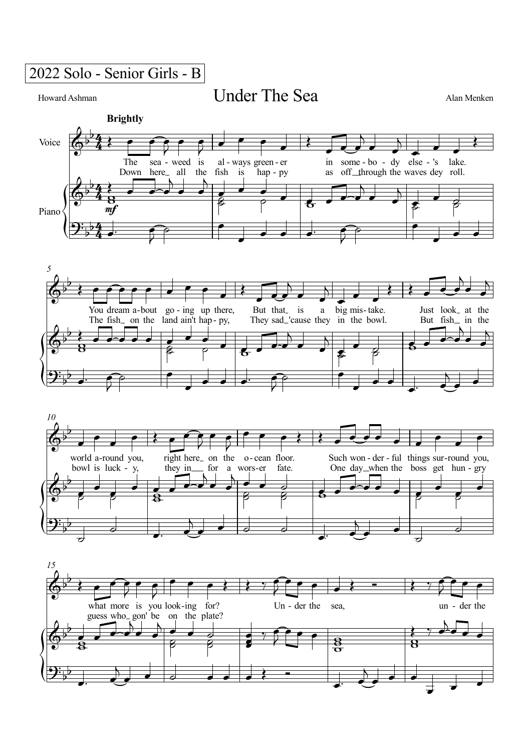2022 Solo - Senior Girls - B

Howard Ashman

## Under The Sea Alan Menken